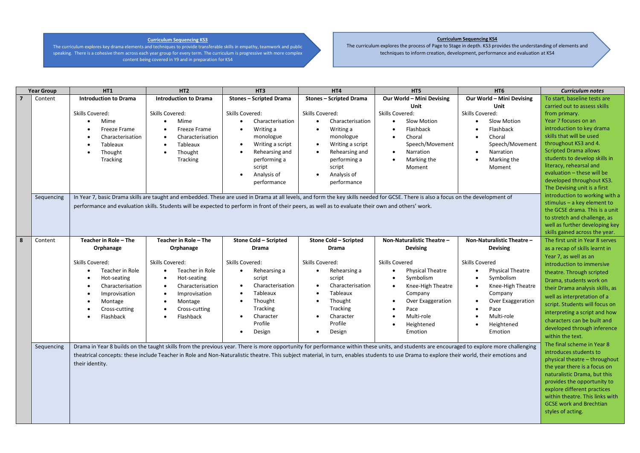## **Curriculum Sequencing KS3**

The curriculum explores key drama elements and techniques to provide transferable skills in empathy, teamwork and public speaking. There is a cohesive them across each year group for every term. The curriculum is progressive with more complex content being covered in Y9 and in preparation for KS4

## **Curriculum Sequencing KS4**

The curriculum explores the process of Page to Stage in depth. KS3 provides the understanding of elements and techniques to inform creation, development, performance and evaluation at KS4

|   | <b>Year Group</b>                                                                                                                                                                         | <b>HT1</b>                                                                                                                                                                                | HT <sub>2</sub>               | HT3                                                                                                                                                 | HT4                            | HT <sub>5</sub>                                                                                                                                                                    | HT <sub>6</sub>                | <b>Curriculum notes</b>         |
|---|-------------------------------------------------------------------------------------------------------------------------------------------------------------------------------------------|-------------------------------------------------------------------------------------------------------------------------------------------------------------------------------------------|-------------------------------|-----------------------------------------------------------------------------------------------------------------------------------------------------|--------------------------------|------------------------------------------------------------------------------------------------------------------------------------------------------------------------------------|--------------------------------|---------------------------------|
|   | Content                                                                                                                                                                                   | <b>Introduction to Drama</b>                                                                                                                                                              | <b>Introduction to Drama</b>  | <b>Stones - Scripted Drama</b>                                                                                                                      | <b>Stones - Scripted Drama</b> | Our World - Mini Devising                                                                                                                                                          | Our World - Mini Devising      | To start, baseline tests are    |
|   |                                                                                                                                                                                           |                                                                                                                                                                                           |                               |                                                                                                                                                     |                                | Unit                                                                                                                                                                               | Unit                           | carried out to assess skills    |
|   |                                                                                                                                                                                           | Skills Covered:                                                                                                                                                                           | Skills Covered:               | Skills Covered:                                                                                                                                     | Skills Covered:                | Skills Covered:                                                                                                                                                                    | Skills Covered:                | from primary.                   |
|   |                                                                                                                                                                                           | Mime<br>$\bullet$                                                                                                                                                                         | Mime                          | Characterisation                                                                                                                                    | Characterisation<br>$\bullet$  | Slow Motion                                                                                                                                                                        | Slow Motion                    | Year 7 focuses on an            |
|   |                                                                                                                                                                                           | Freeze Frame                                                                                                                                                                              | Freeze Frame                  | Writing a<br>$\bullet$                                                                                                                              | Writing a<br>$\bullet$         | Flashback                                                                                                                                                                          | Flashback                      | introduction to key drama       |
|   |                                                                                                                                                                                           | Characterisation                                                                                                                                                                          | Characterisation              | monologue                                                                                                                                           | monologue                      | Choral                                                                                                                                                                             | Choral                         | skills that will be used        |
|   |                                                                                                                                                                                           | Tableaux                                                                                                                                                                                  | Tableaux                      | Writing a script<br>$\bullet$                                                                                                                       | Writing a script               | Speech/Movement                                                                                                                                                                    | Speech/Movement                | throughout KS3 and 4.           |
|   |                                                                                                                                                                                           | Thought<br>$\bullet$                                                                                                                                                                      | Thought                       | Rehearsing and<br>$\bullet$                                                                                                                         | Rehearsing and<br>$\bullet$    | Narration                                                                                                                                                                          | Narration<br>$\bullet$         | <b>Scripted Drama allows</b>    |
|   |                                                                                                                                                                                           | Tracking                                                                                                                                                                                  | Tracking                      | performing a                                                                                                                                        | performing a                   | Marking the                                                                                                                                                                        | Marking the<br>$\bullet$       | students to develop skills in   |
|   |                                                                                                                                                                                           |                                                                                                                                                                                           |                               | script                                                                                                                                              | script                         | Moment                                                                                                                                                                             | Moment                         | literacy, rehearsal and         |
|   |                                                                                                                                                                                           |                                                                                                                                                                                           |                               | Analysis of                                                                                                                                         | Analysis of<br>$\bullet$       |                                                                                                                                                                                    |                                | evaluation - these will be      |
|   |                                                                                                                                                                                           |                                                                                                                                                                                           |                               | performance                                                                                                                                         | performance                    |                                                                                                                                                                                    |                                | developed throughout KS3.       |
|   |                                                                                                                                                                                           |                                                                                                                                                                                           |                               |                                                                                                                                                     |                                |                                                                                                                                                                                    |                                | The Devising unit is a first    |
|   | Sequencing                                                                                                                                                                                |                                                                                                                                                                                           |                               |                                                                                                                                                     |                                | In Year 7, basic Drama skills are taught and embedded. These are used in Drama at all levels, and form the key skills needed for GCSE. There is also a focus on the development of |                                | introduction to working with a  |
|   |                                                                                                                                                                                           |                                                                                                                                                                                           |                               | performance and evaluation skills. Students will be expected to perform in front of their peers, as well as to evaluate their own and others' work. |                                |                                                                                                                                                                                    |                                | stimulus $-$ a key element to   |
|   |                                                                                                                                                                                           |                                                                                                                                                                                           |                               |                                                                                                                                                     |                                |                                                                                                                                                                                    |                                | the GCSE drama. This is a unit  |
|   |                                                                                                                                                                                           |                                                                                                                                                                                           |                               |                                                                                                                                                     |                                |                                                                                                                                                                                    |                                | to stretch and challenge, as    |
|   |                                                                                                                                                                                           |                                                                                                                                                                                           |                               |                                                                                                                                                     |                                |                                                                                                                                                                                    |                                | well as further developing key  |
|   |                                                                                                                                                                                           |                                                                                                                                                                                           |                               |                                                                                                                                                     |                                |                                                                                                                                                                                    |                                | skills gained across the year.  |
| 8 | Content                                                                                                                                                                                   | Teacher in Role - The                                                                                                                                                                     | Teacher in Role - The         | <b>Stone Cold - Scripted</b>                                                                                                                        | Stone Cold - Scripted          | Non-Naturalistic Theatre -                                                                                                                                                         | Non-Naturalistic Theatre -     | The first unit in Year 8 serves |
|   |                                                                                                                                                                                           | Orphanage                                                                                                                                                                                 | Orphanage                     | <b>Drama</b>                                                                                                                                        | Drama                          | <b>Devising</b>                                                                                                                                                                    | <b>Devising</b>                | as a recap of skills learnt in  |
|   |                                                                                                                                                                                           |                                                                                                                                                                                           |                               |                                                                                                                                                     |                                |                                                                                                                                                                                    |                                | Year 7, as well as an           |
|   |                                                                                                                                                                                           | Skills Covered:                                                                                                                                                                           | Skills Covered:               | <b>Skills Covered:</b>                                                                                                                              | Skills Covered:                | <b>Skills Covered</b>                                                                                                                                                              | <b>Skills Covered</b>          | introduction to immersive       |
|   |                                                                                                                                                                                           | Teacher in Role<br>$\bullet$                                                                                                                                                              | Teacher in Role<br>$\bullet$  | Rehearsing a<br>$\bullet$                                                                                                                           | Rehearsing a<br>$\bullet$      | <b>Physical Theatre</b>                                                                                                                                                            | <b>Physical Theatre</b>        | theatre. Through scripted       |
|   |                                                                                                                                                                                           | Hot-seating<br>$\bullet$                                                                                                                                                                  | Hot-seating                   | script                                                                                                                                              | script                         | Symbolism                                                                                                                                                                          | Symbolism                      | Drama, students work on         |
|   |                                                                                                                                                                                           | Characterisation                                                                                                                                                                          | Characterisation<br>$\bullet$ | Characterisation                                                                                                                                    | Characterisation               | Knee-High Theatre                                                                                                                                                                  | Knee-High Theatre              | their Drama analysis skills, as |
|   |                                                                                                                                                                                           | Improvisation                                                                                                                                                                             | Improvisation<br>$\bullet$    | Tableaux<br>$\bullet$                                                                                                                               | Tableaux                       | Company                                                                                                                                                                            | Company                        | well as interpretation of a     |
|   |                                                                                                                                                                                           | Montage<br>$\bullet$                                                                                                                                                                      | Montage                       | Thought<br>$\bullet$                                                                                                                                | Thought                        | Over Exaggeration                                                                                                                                                                  | Over Exaggeration<br>$\bullet$ | script. Students will focus on  |
|   |                                                                                                                                                                                           | Cross-cutting                                                                                                                                                                             | Cross-cutting                 | Tracking                                                                                                                                            | Tracking                       | Pace                                                                                                                                                                               | Pace                           | interpreting a script and how   |
|   |                                                                                                                                                                                           | Flashback                                                                                                                                                                                 | Flashback                     | Character                                                                                                                                           | Character                      | Multi-role                                                                                                                                                                         | Multi-role                     | characters can be built and     |
|   |                                                                                                                                                                                           |                                                                                                                                                                                           |                               | Profile                                                                                                                                             | Profile                        | Heightened                                                                                                                                                                         | Heightened                     |                                 |
|   |                                                                                                                                                                                           |                                                                                                                                                                                           |                               | Design<br>$\bullet$                                                                                                                                 | Design<br>$\bullet$            | Emotion                                                                                                                                                                            | Emotion                        | developed through inference     |
|   |                                                                                                                                                                                           |                                                                                                                                                                                           |                               |                                                                                                                                                     |                                |                                                                                                                                                                                    |                                | within the text.                |
|   | Sequencing                                                                                                                                                                                | Drama in Year 8 builds on the taught skills from the previous year. There is more opportunity for performance within these units, and students are encouraged to explore more challenging |                               |                                                                                                                                                     |                                |                                                                                                                                                                                    |                                | The final scheme in Year 8      |
|   | theatrical concepts: these include Teacher in Role and Non-Naturalistic theatre. This subject material, in turn, enables students to use Drama to explore their world, their emotions and |                                                                                                                                                                                           |                               |                                                                                                                                                     |                                |                                                                                                                                                                                    |                                | introduces students to          |
|   |                                                                                                                                                                                           | their identity.                                                                                                                                                                           |                               |                                                                                                                                                     |                                |                                                                                                                                                                                    |                                | physical theatre - throughout   |
|   |                                                                                                                                                                                           |                                                                                                                                                                                           |                               |                                                                                                                                                     |                                |                                                                                                                                                                                    |                                | the year there is a focus on    |
|   |                                                                                                                                                                                           |                                                                                                                                                                                           |                               |                                                                                                                                                     |                                |                                                                                                                                                                                    |                                | naturalistic Drama, but this    |
|   |                                                                                                                                                                                           |                                                                                                                                                                                           |                               |                                                                                                                                                     |                                |                                                                                                                                                                                    |                                | provides the opportunity to     |
|   |                                                                                                                                                                                           |                                                                                                                                                                                           |                               |                                                                                                                                                     |                                |                                                                                                                                                                                    |                                | explore different practices     |
|   |                                                                                                                                                                                           |                                                                                                                                                                                           |                               |                                                                                                                                                     |                                |                                                                                                                                                                                    |                                | within theatre. This links with |
|   |                                                                                                                                                                                           |                                                                                                                                                                                           |                               |                                                                                                                                                     |                                |                                                                                                                                                                                    |                                | <b>GCSE work and Brechtian</b>  |
|   |                                                                                                                                                                                           |                                                                                                                                                                                           |                               |                                                                                                                                                     |                                |                                                                                                                                                                                    |                                | styles of acting.               |
|   |                                                                                                                                                                                           |                                                                                                                                                                                           |                               |                                                                                                                                                     |                                |                                                                                                                                                                                    |                                |                                 |
|   |                                                                                                                                                                                           |                                                                                                                                                                                           |                               |                                                                                                                                                     |                                |                                                                                                                                                                                    |                                |                                 |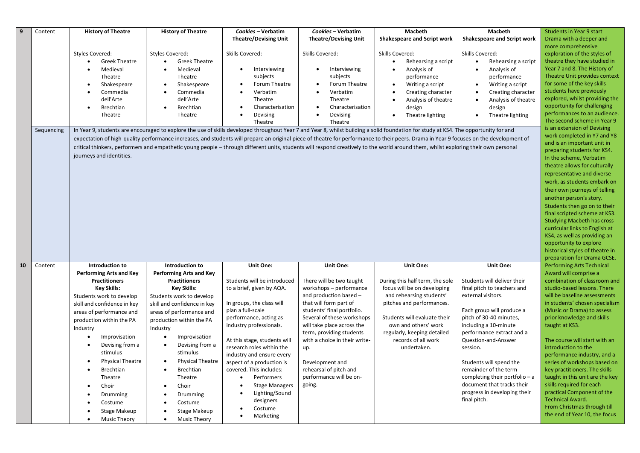| -9 | Content    | <b>History of Theatre</b>      | <b>History of Theatre</b>            | Cookies - Verbatim                                | Cookies - Verbatim                                       | Macbeth                                                                                                                                                                                 | Macbeth                                          | <b>Students in Year 9 start</b>                              |
|----|------------|--------------------------------|--------------------------------------|---------------------------------------------------|----------------------------------------------------------|-----------------------------------------------------------------------------------------------------------------------------------------------------------------------------------------|--------------------------------------------------|--------------------------------------------------------------|
|    |            |                                |                                      | <b>Theatre/Devising Unit</b>                      | <b>Theatre/Devising Unit</b>                             | <b>Shakespeare and Script work</b>                                                                                                                                                      | Shakespeare and Script work                      | Drama with a deeper and                                      |
|    |            |                                |                                      |                                                   |                                                          |                                                                                                                                                                                         |                                                  | more comprehensive                                           |
|    |            | <b>Styles Covered:</b>         | <b>Styles Covered:</b>               | Skills Covered:                                   | Skills Covered:                                          | Skills Covered:                                                                                                                                                                         | Skills Covered:                                  | exploration of the styles of                                 |
|    |            | <b>Greek Theatre</b>           | <b>Greek Theatre</b>                 |                                                   |                                                          | Rehearsing a script<br>$\bullet$                                                                                                                                                        | Rehearsing a script                              | theatre they have studied in                                 |
|    |            | Medieval                       | Medieval<br>$\bullet$                | Interviewing<br>$\bullet$                         | Interviewing                                             | Analysis of<br>$\bullet$                                                                                                                                                                | Analysis of                                      | Year 7 and 8. The History of                                 |
|    |            | Theatre                        | Theatre                              | subjects                                          | subjects                                                 | performance                                                                                                                                                                             | performance                                      | Theatre Unit provides context                                |
|    |            | Shakespeare                    | Shakespeare<br>$\bullet$             | Forum Theatre                                     | Forum Theatre                                            | Writing a script<br>$\bullet$                                                                                                                                                           | Writing a script                                 | for some of the key skills                                   |
|    |            | Commedia                       | Commedia                             | Verbatim                                          | Verbatim                                                 | Creating character                                                                                                                                                                      | Creating character                               | students have previously                                     |
|    |            | dell'Arte                      | dell'Arte                            | Theatre                                           | Theatre                                                  | Analysis of theatre<br>$\bullet$                                                                                                                                                        | Analysis of theatre                              | explored, whilst providing the                               |
|    |            | <b>Brechtian</b>               | Brechtian                            | Characterisation                                  | Characterisation                                         | design                                                                                                                                                                                  | design                                           | opportunity for challenging                                  |
|    |            | Theatre                        | Theatre                              | Devising                                          | Devising<br>$\bullet$                                    | Theatre lighting<br>$\bullet$                                                                                                                                                           | Theatre lighting<br>$\bullet$                    | performances to an audience.                                 |
|    |            |                                |                                      | Theatre                                           | Theatre                                                  |                                                                                                                                                                                         |                                                  | The second scheme in Year 9                                  |
|    | Sequencing |                                |                                      |                                                   |                                                          | In Year 9, students are encouraged to explore the use of skills developed throughout Year 7 and Year 8, whilst building a solid foundation for study at KS4. The opportunity for and    |                                                  | is an extension of Devising                                  |
|    |            |                                |                                      |                                                   |                                                          |                                                                                                                                                                                         |                                                  | work completed in Y7 and Y8                                  |
|    |            |                                |                                      |                                                   |                                                          | expectation of high-quality performance increases, and students will prepare an original piece of theatre for performance to their peers. Drama in Year 9 focuses on the development of |                                                  | and is an important unit in                                  |
|    |            |                                |                                      |                                                   |                                                          | critical thinkers, performers and empathetic young people - through different units, students will respond creatively to the world around them, whilst exploring their own personal     |                                                  | preparing students for KS4.                                  |
|    |            | journeys and identities.       |                                      |                                                   |                                                          |                                                                                                                                                                                         |                                                  | In the scheme, Verbatim                                      |
|    |            |                                |                                      |                                                   |                                                          |                                                                                                                                                                                         |                                                  | theatre allows for culturally                                |
|    |            |                                |                                      |                                                   |                                                          |                                                                                                                                                                                         |                                                  | representative and diverse                                   |
|    |            |                                |                                      |                                                   |                                                          |                                                                                                                                                                                         |                                                  | work, as students embark on                                  |
|    |            |                                |                                      |                                                   |                                                          |                                                                                                                                                                                         |                                                  | their own journeys of telling                                |
|    |            |                                |                                      |                                                   |                                                          |                                                                                                                                                                                         |                                                  | another person's story.                                      |
|    |            |                                |                                      |                                                   |                                                          |                                                                                                                                                                                         |                                                  | Students then go on to their                                 |
|    |            |                                |                                      |                                                   |                                                          |                                                                                                                                                                                         |                                                  |                                                              |
|    |            |                                |                                      |                                                   |                                                          |                                                                                                                                                                                         |                                                  | final scripted scheme at KS3.                                |
|    |            |                                |                                      |                                                   |                                                          |                                                                                                                                                                                         |                                                  | <b>Studying Macbeth has cross-</b>                           |
|    |            |                                |                                      |                                                   |                                                          |                                                                                                                                                                                         |                                                  | curricular links to English at                               |
|    |            |                                |                                      |                                                   |                                                          |                                                                                                                                                                                         |                                                  | KS4, as well as providing an                                 |
|    |            |                                |                                      |                                                   |                                                          |                                                                                                                                                                                         |                                                  | opportunity to explore                                       |
|    |            |                                |                                      |                                                   |                                                          |                                                                                                                                                                                         |                                                  | historical styles of theatre in                              |
|    |            |                                |                                      |                                                   |                                                          |                                                                                                                                                                                         |                                                  | preparation for Drama GCSE.                                  |
| 10 | Content    | Introduction to                | Introduction to                      | <b>Unit One:</b>                                  | Unit One:                                                | Unit One:                                                                                                                                                                               | <b>Unit One:</b>                                 | <b>Performing Arts Technical</b>                             |
|    |            | <b>Performing Arts and Key</b> | <b>Performing Arts and Key</b>       |                                                   |                                                          |                                                                                                                                                                                         |                                                  | Award will comprise a                                        |
|    |            | <b>Practitioners</b>           | <b>Practitioners</b>                 | Students will be introduced                       | There will be two taught                                 | During this half term, the sole                                                                                                                                                         | Students will deliver their                      | combination of classroom and                                 |
|    |            | <b>Key Skills:</b>             | <b>Key Skills:</b>                   | to a brief, given by AQA.                         | workshops - performance                                  | focus will be on developing                                                                                                                                                             | final pitch to teachers and                      | studio-based lessons. There                                  |
|    |            | Students work to develop       | Students work to develop             |                                                   | and production based -                                   | and rehearsing students'                                                                                                                                                                | external visitors.                               | will be baseline assessments                                 |
|    |            | skill and confidence in key    | skill and confidence in key          | In groups, the class will                         | that will form part of                                   | pitches and performances.                                                                                                                                                               |                                                  | in students' chosen specialism                               |
|    |            | areas of performance and       | areas of performance and             | plan a full-scale                                 | students' final portfolio.                               |                                                                                                                                                                                         | Each group will produce a                        | (Music or Drama) to assess                                   |
|    |            | production within the PA       | production within the PA             | performance, acting as<br>industry professionals. | Several of these workshops<br>will take place across the | Students will evaluate their<br>own and others' work                                                                                                                                    | pitch of 30-40 minutes,<br>including a 10-minute | prior knowledge and skills                                   |
|    |            | Industry                       | Industry                             |                                                   | term, providing students                                 | regularly, keeping detailed                                                                                                                                                             | performance extract and a                        | taught at KS3.                                               |
|    |            | Improvisation                  | Improvisation                        | At this stage, students will                      | with a choice in their write-                            | records of all work                                                                                                                                                                     | Question-and-Answer                              | The course will start with an                                |
|    |            | Devising from a                | Devising from a<br>$\bullet$         | research roles within the                         |                                                          | undertaken.                                                                                                                                                                             | session.                                         | introduction to the                                          |
|    |            | stimulus                       | stimulus                             | industry and ensure every                         | up.                                                      |                                                                                                                                                                                         |                                                  | performance industry, and a                                  |
|    |            | <b>Physical Theatre</b>        | <b>Physical Theatre</b><br>$\bullet$ | aspect of a production is                         | Development and                                          |                                                                                                                                                                                         | Students will spend the                          | series of workshops based on                                 |
|    |            | <b>Brechtian</b><br>$\bullet$  | Brechtian                            | covered. This includes:                           | rehearsal of pitch and                                   |                                                                                                                                                                                         | remainder of the term                            | key practitioners. The skills                                |
|    |            | Theatre                        | Theatre                              | Performers                                        | performance will be on-                                  |                                                                                                                                                                                         | completing their portfolio - a                   | taught in this unit are the key                              |
|    |            |                                |                                      |                                                   | going.                                                   |                                                                                                                                                                                         | document that tracks their                       | skills required for each                                     |
|    |            | Choir                          | Choir<br>$\bullet$                   | <b>Stage Managers</b>                             |                                                          |                                                                                                                                                                                         | progress in developing their                     | practical Component of the                                   |
|    |            | Drumming                       | Drumming                             | Lighting/Sound                                    |                                                          |                                                                                                                                                                                         | final pitch.                                     | <b>Technical Award.</b>                                      |
|    |            |                                |                                      |                                                   |                                                          |                                                                                                                                                                                         |                                                  |                                                              |
|    |            | Costume                        | Costume                              | designers                                         |                                                          |                                                                                                                                                                                         |                                                  |                                                              |
|    |            | Stage Makeup                   | Stage Makeup                         | Costume<br>Marketing<br>٠                         |                                                          |                                                                                                                                                                                         |                                                  | From Christmas through till<br>the end of Year 10, the focus |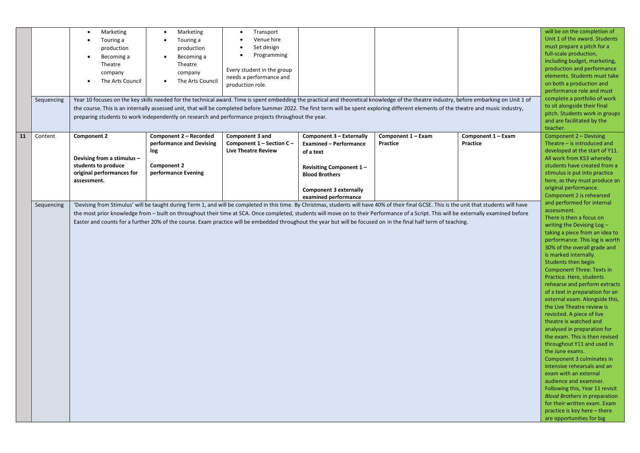|    |            | Marketing<br>$\bullet$                                                                                                                                           | Marketing<br>$\bullet$                                                                             | Transport                  |                                |                                                                                                                                                                                               |                    | will be on the completion of                              |
|----|------------|------------------------------------------------------------------------------------------------------------------------------------------------------------------|----------------------------------------------------------------------------------------------------|----------------------------|--------------------------------|-----------------------------------------------------------------------------------------------------------------------------------------------------------------------------------------------|--------------------|-----------------------------------------------------------|
|    |            | Touring a                                                                                                                                                        | Touring a                                                                                          | Venue hire                 |                                |                                                                                                                                                                                               |                    | Unit 1 of the award. Students                             |
|    |            | production                                                                                                                                                       | production                                                                                         | Set design                 |                                |                                                                                                                                                                                               |                    | must prepare a pitch for a                                |
|    |            | Becoming a<br>$\bullet$                                                                                                                                          | Becoming a<br>$\bullet$                                                                            | Programming                |                                |                                                                                                                                                                                               |                    | full-scale production,                                    |
|    |            | Theatre                                                                                                                                                          | Theatre                                                                                            |                            |                                |                                                                                                                                                                                               |                    | including budget, marketing,                              |
|    |            | company                                                                                                                                                          | company                                                                                            | Every student in the group |                                |                                                                                                                                                                                               |                    | production and performance                                |
|    |            | The Arts Council                                                                                                                                                 | The Arts Council                                                                                   | needs a performance and    |                                |                                                                                                                                                                                               |                    | elements. Students must take                              |
|    |            |                                                                                                                                                                  |                                                                                                    | production role.           |                                |                                                                                                                                                                                               |                    | on both a production and                                  |
|    |            |                                                                                                                                                                  |                                                                                                    |                            |                                |                                                                                                                                                                                               |                    | performance role and must<br>complete a portfolio of work |
|    | Sequencing |                                                                                                                                                                  |                                                                                                    |                            |                                | Year 10 focuses on the key skills needed for the technical award. Time is spent embedding the practical and theoretical knowledge of the theatre industry, before embarking on Unit 1 of      |                    | to sit alongside their final                              |
|    |            |                                                                                                                                                                  |                                                                                                    |                            |                                | the course. This is an internally assessed unit, that will be completed before Summer 2022. The first term will be spent exploring different elements of the theatre and music industry,      |                    | pitch. Students work in groups                            |
|    |            |                                                                                                                                                                  | preparing students to work independently on research and performance projects throughout the year. |                            |                                |                                                                                                                                                                                               |                    | and are facilitated by the                                |
|    |            |                                                                                                                                                                  |                                                                                                    |                            |                                |                                                                                                                                                                                               |                    | teacher.                                                  |
| 11 | Content    | <b>Component 2</b>                                                                                                                                               | Component 2 - Recorded                                                                             | Component 3 and            | Component 3 - Externally       | Component 1 - Exam                                                                                                                                                                            | Component 1 - Exam | Component 2 - Devising                                    |
|    |            |                                                                                                                                                                  | performance and Devising                                                                           | Component 1 - Section C -  | <b>Examined - Performance</b>  | Practice                                                                                                                                                                                      | Practice           | Theatre – is introduced and                               |
|    |            |                                                                                                                                                                  | log                                                                                                | <b>Live Theatre Review</b> | of a text                      |                                                                                                                                                                                               |                    | developed at the start of Y11.                            |
|    |            | Devising from a stimulus -                                                                                                                                       |                                                                                                    |                            |                                |                                                                                                                                                                                               |                    | All work from KS3 whereby                                 |
|    |            | students to produce                                                                                                                                              | <b>Component 2</b>                                                                                 |                            | <b>Revisiting Component 1-</b> |                                                                                                                                                                                               |                    | students have created from a                              |
|    |            | original performances for                                                                                                                                        | performance Evening                                                                                |                            | <b>Blood Brothers</b>          |                                                                                                                                                                                               |                    | stimulus is put into practice                             |
|    |            | assessment.                                                                                                                                                      |                                                                                                    |                            |                                |                                                                                                                                                                                               |                    | here, as they must produce an                             |
|    |            |                                                                                                                                                                  |                                                                                                    |                            | <b>Component 3 externally</b>  |                                                                                                                                                                                               |                    | original performance.                                     |
|    |            |                                                                                                                                                                  |                                                                                                    |                            | examined performance           |                                                                                                                                                                                               |                    | Component 2 is rehearsed                                  |
|    | Sequencing |                                                                                                                                                                  |                                                                                                    |                            |                                | 'Devising from Stimulus' will be taught during Term 1, and will be completed in this time. By Christmas, students will have 40% of their final GCSE. This is the unit that students will have |                    | and performed for internal                                |
|    |            |                                                                                                                                                                  |                                                                                                    |                            |                                | the most prior knowledge from - built on throughout their time at SCA. Once completed, students will move on to their Performance of a Script. This will be externally examined before        |                    | assessment.                                               |
|    |            |                                                                                                                                                                  |                                                                                                    |                            |                                |                                                                                                                                                                                               |                    | There is then a focus on<br>writing the Devising $Log -$  |
|    |            | Easter and counts for a further 20% of the course. Exam practice will be embedded throughout the year but will be focused on in the final half term of teaching. |                                                                                                    |                            |                                |                                                                                                                                                                                               |                    |                                                           |
|    |            |                                                                                                                                                                  |                                                                                                    |                            |                                |                                                                                                                                                                                               |                    |                                                           |
|    |            |                                                                                                                                                                  |                                                                                                    |                            |                                |                                                                                                                                                                                               |                    |                                                           |
|    |            |                                                                                                                                                                  |                                                                                                    |                            |                                |                                                                                                                                                                                               |                    | 30% of the overall grade and<br>is marked internally.     |
|    |            |                                                                                                                                                                  |                                                                                                    |                            |                                |                                                                                                                                                                                               |                    | Students then begin                                       |
|    |            |                                                                                                                                                                  |                                                                                                    |                            |                                |                                                                                                                                                                                               |                    | <b>Component Three: Texts in</b>                          |
|    |            |                                                                                                                                                                  |                                                                                                    |                            |                                |                                                                                                                                                                                               |                    | Practice. Here, students                                  |
|    |            |                                                                                                                                                                  |                                                                                                    |                            |                                |                                                                                                                                                                                               |                    | rehearse and perform extracts                             |
|    |            |                                                                                                                                                                  |                                                                                                    |                            |                                |                                                                                                                                                                                               |                    | of a text in preparation for an                           |
|    |            |                                                                                                                                                                  |                                                                                                    |                            |                                |                                                                                                                                                                                               |                    | external exam. Alongside this,                            |
|    |            |                                                                                                                                                                  |                                                                                                    |                            |                                |                                                                                                                                                                                               |                    | the Live Theatre review is                                |
|    |            |                                                                                                                                                                  |                                                                                                    |                            |                                |                                                                                                                                                                                               |                    | revisited. A piece of live                                |
|    |            |                                                                                                                                                                  |                                                                                                    |                            |                                |                                                                                                                                                                                               |                    | theatre is watched and                                    |
|    |            |                                                                                                                                                                  |                                                                                                    |                            |                                |                                                                                                                                                                                               |                    | analysed in preparation for                               |
|    |            |                                                                                                                                                                  |                                                                                                    |                            |                                |                                                                                                                                                                                               |                    | the exam. This is then revised                            |
|    |            |                                                                                                                                                                  |                                                                                                    |                            |                                |                                                                                                                                                                                               |                    | throughout Y11 and used in                                |
|    |            |                                                                                                                                                                  |                                                                                                    |                            |                                |                                                                                                                                                                                               |                    | the June exams.                                           |
|    |            |                                                                                                                                                                  |                                                                                                    |                            |                                |                                                                                                                                                                                               |                    | Component 3 culminates in                                 |
|    |            |                                                                                                                                                                  |                                                                                                    |                            |                                |                                                                                                                                                                                               |                    | intensive rehearsals and an<br>exam with an external      |
|    |            |                                                                                                                                                                  |                                                                                                    |                            |                                |                                                                                                                                                                                               |                    | audience and examiner.                                    |
|    |            |                                                                                                                                                                  |                                                                                                    |                            |                                |                                                                                                                                                                                               |                    | Following this, Year 11 revisit                           |
|    |            |                                                                                                                                                                  |                                                                                                    |                            |                                |                                                                                                                                                                                               |                    | <b>Blood Brothers in preparation</b>                      |
|    |            |                                                                                                                                                                  |                                                                                                    |                            |                                |                                                                                                                                                                                               |                    | for their written exam. Exam                              |
|    |            |                                                                                                                                                                  |                                                                                                    |                            |                                |                                                                                                                                                                                               |                    | practice is key here - there                              |
|    |            |                                                                                                                                                                  |                                                                                                    |                            |                                |                                                                                                                                                                                               |                    | are opportunities for big                                 |
|    |            |                                                                                                                                                                  |                                                                                                    |                            |                                |                                                                                                                                                                                               |                    |                                                           |